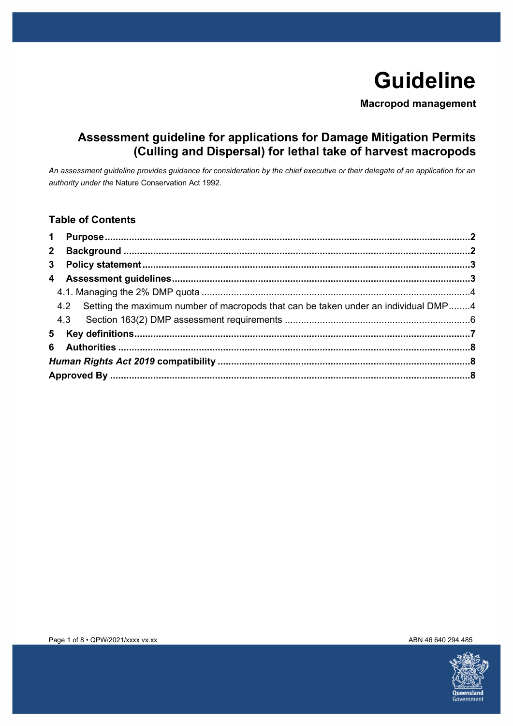# **Guideline**

**Macropod management** 

# **Assessment guideline for applications for Damage Mitigation Permits (Culling and Dispersal) for lethal take of harvest macropods**

*An assessment guideline provides guidance for consideration by the chief executive or their delegate of an application for an authority under the* Nature Conservation Act 1992*.* 

### **Table of Contents**

| 4.2 Setting the maximum number of macropods that can be taken under an individual DMP4 |  |  |  |
|----------------------------------------------------------------------------------------|--|--|--|
|                                                                                        |  |  |  |
|                                                                                        |  |  |  |
|                                                                                        |  |  |  |
|                                                                                        |  |  |  |
|                                                                                        |  |  |  |
|                                                                                        |  |  |  |

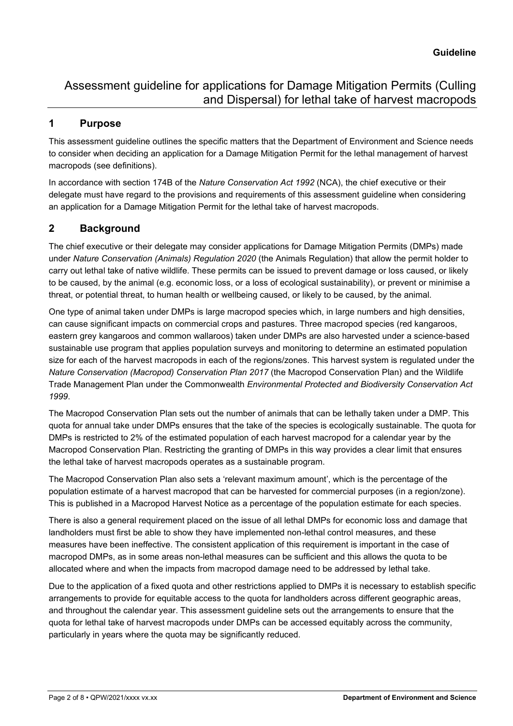### <span id="page-1-0"></span>**1 Purpose**

This assessment guideline outlines the specific matters that the Department of Environment and Science needs to consider when deciding an application for a Damage Mitigation Permit for the lethal management of harvest macropods (see definitions).

In accordance with section 174B of the *Nature Conservation Act 1992* (NCA), the chief executive or their delegate must have regard to the provisions and requirements of this assessment guideline when considering an application for a Damage Mitigation Permit for the lethal take of harvest macropods.

### <span id="page-1-1"></span>**2 Background**

The chief executive or their delegate may consider applications for Damage Mitigation Permits (DMPs) made under *Nature Conservation (Animals) Regulation 2020* (the Animals Regulation) that allow the permit holder to carry out lethal take of native wildlife. These permits can be issued to prevent damage or loss caused, or likely to be caused, by the animal (e.g. economic loss, or a loss of ecological sustainability), or prevent or minimise a threat, or potential threat, to human health or wellbeing caused, or likely to be caused, by the animal.

One type of animal taken under DMPs is large macropod species which, in large numbers and high densities, can cause significant impacts on commercial crops and pastures. Three macropod species (red kangaroos, eastern grey kangaroos and common wallaroos) taken under DMPs are also harvested under a science-based sustainable use program that applies population surveys and monitoring to determine an estimated population size for each of the harvest macropods in each of the regions/zones. This harvest system is regulated under the *Nature Conservation (Macropod) Conservation Plan 2017* (the Macropod Conservation Plan) and the Wildlife Trade Management Plan under the Commonwealth *Environmental Protected and Biodiversity Conservation Act 1999*.

The Macropod Conservation Plan sets out the number of animals that can be lethally taken under a DMP. This quota for annual take under DMPs ensures that the take of the species is ecologically sustainable. The quota for DMPs is restricted to 2% of the estimated population of each harvest macropod for a calendar year by the Macropod Conservation Plan. Restricting the granting of DMPs in this way provides a clear limit that ensures the lethal take of harvest macropods operates as a sustainable program.

The Macropod Conservation Plan also sets a 'relevant maximum amount', which is the percentage of the population estimate of a harvest macropod that can be harvested for commercial purposes (in a region/zone). This is published in a Macropod Harvest Notice as a percentage of the population estimate for each species.

There is also a general requirement placed on the issue of all lethal DMPs for economic loss and damage that landholders must first be able to show they have implemented non-lethal control measures, and these measures have been ineffective. The consistent application of this requirement is important in the case of macropod DMPs, as in some areas non-lethal measures can be sufficient and this allows the quota to be allocated where and when the impacts from macropod damage need to be addressed by lethal take.

Due to the application of a fixed quota and other restrictions applied to DMPs it is necessary to establish specific arrangements to provide for equitable access to the quota for landholders across different geographic areas, and throughout the calendar year. This assessment guideline sets out the arrangements to ensure that the quota for lethal take of harvest macropods under DMPs can be accessed equitably across the community, particularly in years where the quota may be significantly reduced.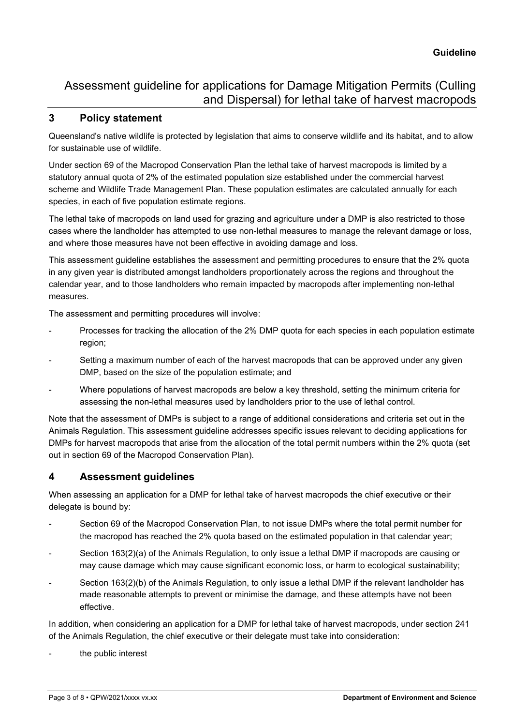#### <span id="page-2-0"></span>**3 Policy statement**

Queensland's native wildlife is protected by legislation that aims to conserve wildlife and its habitat, and to allow for sustainable use of wildlife.

Under section 69 of the Macropod Conservation Plan the lethal take of harvest macropods is limited by a statutory annual quota of 2% of the estimated population size established under the commercial harvest scheme and Wildlife Trade Management Plan. These population estimates are calculated annually for each species, in each of five population estimate regions.

The lethal take of macropods on land used for grazing and agriculture under a DMP is also restricted to those cases where the landholder has attempted to use non-lethal measures to manage the relevant damage or loss, and where those measures have not been effective in avoiding damage and loss.

This assessment guideline establishes the assessment and permitting procedures to ensure that the 2% quota in any given year is distributed amongst landholders proportionately across the regions and throughout the calendar year, and to those landholders who remain impacted by macropods after implementing non-lethal measures.

The assessment and permitting procedures will involve:

- Processes for tracking the allocation of the 2% DMP quota for each species in each population estimate region;
- Setting a maximum number of each of the harvest macropods that can be approved under any given DMP, based on the size of the population estimate; and
- Where populations of harvest macropods are below a key threshold, setting the minimum criteria for assessing the non-lethal measures used by landholders prior to the use of lethal control.

Note that the assessment of DMPs is subject to a range of additional considerations and criteria set out in the Animals Regulation. This assessment guideline addresses specific issues relevant to deciding applications for DMPs for harvest macropods that arise from the allocation of the total permit numbers within the 2% quota (set out in section 69 of the Macropod Conservation Plan).

### <span id="page-2-1"></span>**4 Assessment guidelines**

When assessing an application for a DMP for lethal take of harvest macropods the chief executive or their delegate is bound by:

- Section 69 of the Macropod Conservation Plan, to not issue DMPs where the total permit number for the macropod has reached the 2% quota based on the estimated population in that calendar year;
- Section 163(2)(a) of the Animals Regulation, to only issue a lethal DMP if macropods are causing or may cause damage which may cause significant economic loss, or harm to ecological sustainability;
- Section 163(2)(b) of the Animals Regulation, to only issue a lethal DMP if the relevant landholder has made reasonable attempts to prevent or minimise the damage, and these attempts have not been effective.

In addition, when considering an application for a DMP for lethal take of harvest macropods, under section 241 of the Animals Regulation, the chief executive or their delegate must take into consideration:

the public interest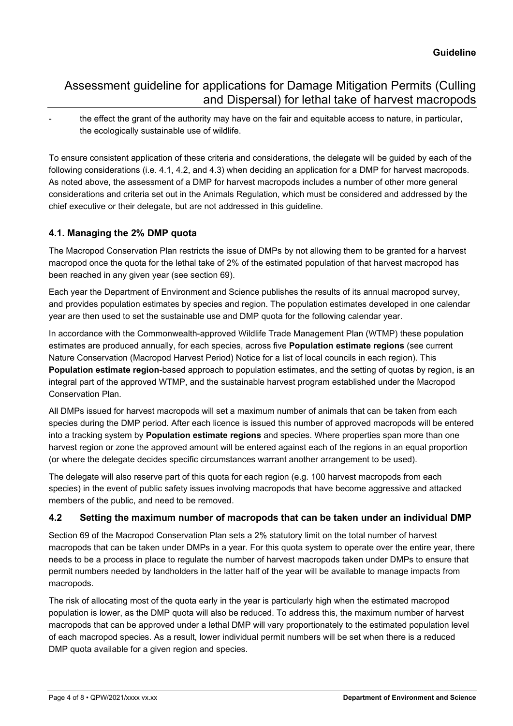the effect the grant of the authority may have on the fair and equitable access to nature, in particular, the ecologically sustainable use of wildlife.

To ensure consistent application of these criteria and considerations, the delegate will be guided by each of the following considerations (i.e. 4.1, 4.2, and 4.3) when deciding an application for a DMP for harvest macropods. As noted above, the assessment of a DMP for harvest macropods includes a number of other more general considerations and criteria set out in the Animals Regulation, which must be considered and addressed by the chief executive or their delegate, but are not addressed in this guideline.

#### <span id="page-3-0"></span>**4.1. Managing the 2% DMP quota**

The Macropod Conservation Plan restricts the issue of DMPs by not allowing them to be granted for a harvest macropod once the quota for the lethal take of 2% of the estimated population of that harvest macropod has been reached in any given year (see section 69).

Each year the Department of Environment and Science publishes the results of its annual macropod survey, and provides population estimates by species and region. The population estimates developed in one calendar year are then used to set the sustainable use and DMP quota for the following calendar year.

In accordance with the Commonwealth-approved Wildlife Trade Management Plan (WTMP) these population estimates are produced annually, for each species, across five **Population estimate regions** (see current Nature Conservation (Macropod Harvest Period) Notice for a list of local councils in each region). This **Population estimate region**-based approach to population estimates, and the setting of quotas by region, is an integral part of the approved WTMP, and the sustainable harvest program established under the Macropod Conservation Plan.

All DMPs issued for harvest macropods will set a maximum number of animals that can be taken from each species during the DMP period. After each licence is issued this number of approved macropods will be entered into a tracking system by **Population estimate regions** and species. Where properties span more than one harvest region or zone the approved amount will be entered against each of the regions in an equal proportion (or where the delegate decides specific circumstances warrant another arrangement to be used).

The delegate will also reserve part of this quota for each region (e.g. 100 harvest macropods from each species) in the event of public safety issues involving macropods that have become aggressive and attacked members of the public, and need to be removed.

#### <span id="page-3-1"></span>**4.2 Setting the maximum number of macropods that can be taken under an individual DMP**

Section 69 of the Macropod Conservation Plan sets a 2% statutory limit on the total number of harvest macropods that can be taken under DMPs in a year. For this quota system to operate over the entire year, there needs to be a process in place to regulate the number of harvest macropods taken under DMPs to ensure that permit numbers needed by landholders in the latter half of the year will be available to manage impacts from macropods.

The risk of allocating most of the quota early in the year is particularly high when the estimated macropod population is lower, as the DMP quota will also be reduced. To address this, the maximum number of harvest macropods that can be approved under a lethal DMP will vary proportionately to the estimated population level of each macropod species. As a result, lower individual permit numbers will be set when there is a reduced DMP quota available for a given region and species.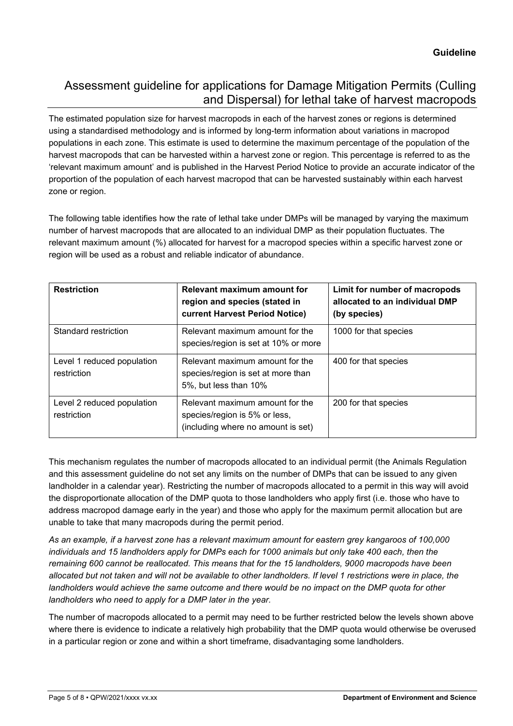The estimated population size for harvest macropods in each of the harvest zones or regions is determined using a standardised methodology and is informed by long-term information about variations in macropod populations in each zone. This estimate is used to determine the maximum percentage of the population of the harvest macropods that can be harvested within a harvest zone or region. This percentage is referred to as the 'relevant maximum amount' and is published in the Harvest Period Notice to provide an accurate indicator of the proportion of the population of each harvest macropod that can be harvested sustainably within each harvest zone or region.

The following table identifies how the rate of lethal take under DMPs will be managed by varying the maximum number of harvest macropods that are allocated to an individual DMP as their population fluctuates. The relevant maximum amount (%) allocated for harvest for a macropod species within a specific harvest zone or region will be used as a robust and reliable indicator of abundance.

| <b>Restriction</b>                        | <b>Relevant maximum amount for</b><br>region and species (stated in<br><b>current Harvest Period Notice)</b> | Limit for number of macropods<br>allocated to an individual DMP<br>(by species) |
|-------------------------------------------|--------------------------------------------------------------------------------------------------------------|---------------------------------------------------------------------------------|
| Standard restriction                      | Relevant maximum amount for the<br>species/region is set at 10% or more                                      | 1000 for that species                                                           |
| Level 1 reduced population<br>restriction | Relevant maximum amount for the<br>species/region is set at more than<br>5%, but less than 10%               | 400 for that species                                                            |
| Level 2 reduced population<br>restriction | Relevant maximum amount for the<br>species/region is 5% or less,<br>(including where no amount is set)       | 200 for that species                                                            |

This mechanism regulates the number of macropods allocated to an individual permit (the Animals Regulation and this assessment guideline do not set any limits on the number of DMPs that can be issued to any given landholder in a calendar year). Restricting the number of macropods allocated to a permit in this way will avoid the disproportionate allocation of the DMP quota to those landholders who apply first (i.e. those who have to address macropod damage early in the year) and those who apply for the maximum permit allocation but are unable to take that many macropods during the permit period.

*As an example, if a harvest zone has a relevant maximum amount for eastern grey kangaroos of 100,000*  individuals and 15 landholders apply for DMPs each for 1000 animals but only take 400 each, then the *remaining 600 cannot be reallocated. This means that for the 15 landholders, 9000 macropods have been allocated but not taken and will not be available to other landholders. If level 1 restrictions were in place, the landholders would achieve the same outcome and there would be no impact on the DMP quota for other landholders who need to apply for a DMP later in the year.* 

The number of macropods allocated to a permit may need to be further restricted below the levels shown above where there is evidence to indicate a relatively high probability that the DMP quota would otherwise be overused in a particular region or zone and within a short timeframe, disadvantaging some landholders.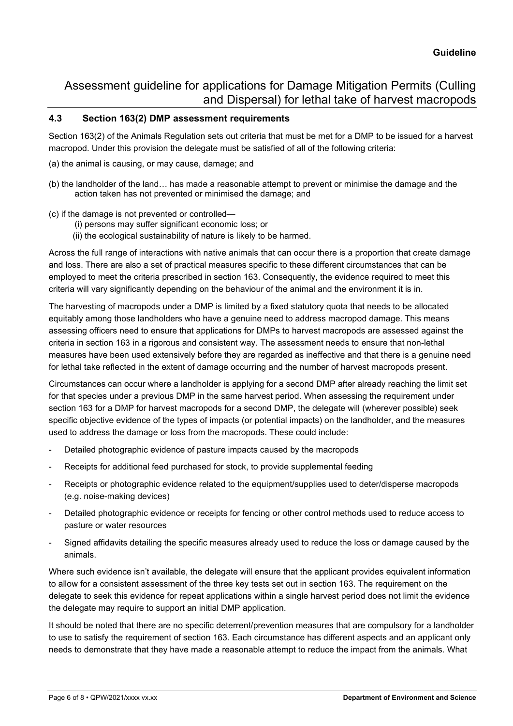#### <span id="page-5-0"></span>**4.3 Section 163(2) DMP assessment requirements**

Section 163(2) of the Animals Regulation sets out criteria that must be met for a DMP to be issued for a harvest macropod. Under this provision the delegate must be satisfied of all of the following criteria:

- (a) the animal is causing, or may cause, damage; and
- (b) the landholder of the land… has made a reasonable attempt to prevent or minimise the damage and the action taken has not prevented or minimised the damage; and
- (c) if the damage is not prevented or controlled—
	- (i) persons may suffer significant economic loss; or
	- (ii) the ecological sustainability of nature is likely to be harmed.

Across the full range of interactions with native animals that can occur there is a proportion that create damage and loss. There are also a set of practical measures specific to these different circumstances that can be employed to meet the criteria prescribed in section 163. Consequently, the evidence required to meet this criteria will vary significantly depending on the behaviour of the animal and the environment it is in.

The harvesting of macropods under a DMP is limited by a fixed statutory quota that needs to be allocated equitably among those landholders who have a genuine need to address macropod damage. This means assessing officers need to ensure that applications for DMPs to harvest macropods are assessed against the criteria in section 163 in a rigorous and consistent way. The assessment needs to ensure that non-lethal measures have been used extensively before they are regarded as ineffective and that there is a genuine need for lethal take reflected in the extent of damage occurring and the number of harvest macropods present.

Circumstances can occur where a landholder is applying for a second DMP after already reaching the limit set for that species under a previous DMP in the same harvest period. When assessing the requirement under section 163 for a DMP for harvest macropods for a second DMP, the delegate will (wherever possible) seek specific objective evidence of the types of impacts (or potential impacts) on the landholder, and the measures used to address the damage or loss from the macropods. These could include:

- Detailed photographic evidence of pasture impacts caused by the macropods
- Receipts for additional feed purchased for stock, to provide supplemental feeding
- Receipts or photographic evidence related to the equipment/supplies used to deter/disperse macropods (e.g. noise-making devices)
- Detailed photographic evidence or receipts for fencing or other control methods used to reduce access to pasture or water resources
- Signed affidavits detailing the specific measures already used to reduce the loss or damage caused by the animals.

Where such evidence isn't available, the delegate will ensure that the applicant provides equivalent information to allow for a consistent assessment of the three key tests set out in section 163. The requirement on the delegate to seek this evidence for repeat applications within a single harvest period does not limit the evidence the delegate may require to support an initial DMP application.

It should be noted that there are no specific deterrent/prevention measures that are compulsory for a landholder to use to satisfy the requirement of section 163. Each circumstance has different aspects and an applicant only needs to demonstrate that they have made a reasonable attempt to reduce the impact from the animals. What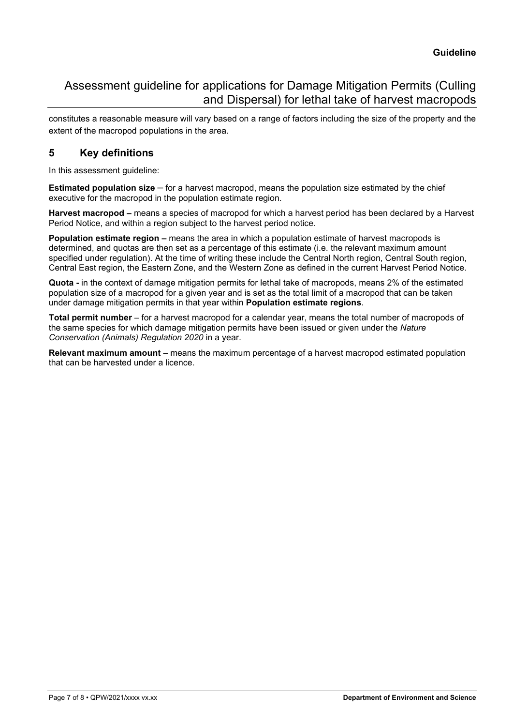constitutes a reasonable measure will vary based on a range of factors including the size of the property and the extent of the macropod populations in the area.

### <span id="page-6-0"></span>**5 Key definitions**

In this assessment guideline:

**Estimated population size** – for a harvest macropod, means the population size estimated by the chief executive for the macropod in the population estimate region.

**Harvest macropod –** means a species of macropod for which a harvest period has been declared by a Harvest Period Notice, and within a region subject to the harvest period notice.

**Population estimate region –** means the area in which a population estimate of harvest macropods is determined, and quotas are then set as a percentage of this estimate (i.e. the relevant maximum amount specified under regulation). At the time of writing these include the Central North region, Central South region, Central East region, the Eastern Zone, and the Western Zone as defined in the current Harvest Period Notice.

**Quota -** in the context of damage mitigation permits for lethal take of macropods, means 2% of the estimated population size of a macropod for a given year and is set as the total limit of a macropod that can be taken under damage mitigation permits in that year within **Population estimate regions**.

**Total permit number** – for a harvest macropod for a calendar year, means the total number of macropods of the same species for which damage mitigation permits have been issued or given under the *Nature Conservation (Animals) Regulation 2020* in a year.

**Relevant maximum amount** – means the maximum percentage of a harvest macropod estimated population that can be harvested under a licence.